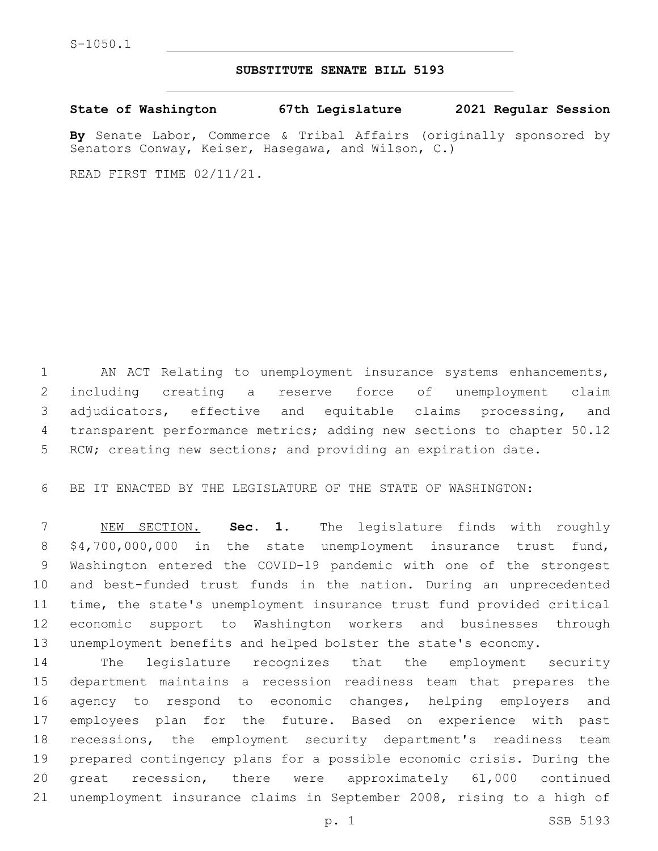## **SUBSTITUTE SENATE BILL 5193**

**State of Washington 67th Legislature 2021 Regular Session**

**By** Senate Labor, Commerce & Tribal Affairs (originally sponsored by Senators Conway, Keiser, Hasegawa, and Wilson, C.)

READ FIRST TIME 02/11/21.

 AN ACT Relating to unemployment insurance systems enhancements, including creating a reserve force of unemployment claim adjudicators, effective and equitable claims processing, and transparent performance metrics; adding new sections to chapter 50.12 RCW; creating new sections; and providing an expiration date.

BE IT ENACTED BY THE LEGISLATURE OF THE STATE OF WASHINGTON:

 NEW SECTION. **Sec. 1.** The legislature finds with roughly \$4,700,000,000 in the state unemployment insurance trust fund, Washington entered the COVID-19 pandemic with one of the strongest and best-funded trust funds in the nation. During an unprecedented time, the state's unemployment insurance trust fund provided critical economic support to Washington workers and businesses through unemployment benefits and helped bolster the state's economy.

 The legislature recognizes that the employment security department maintains a recession readiness team that prepares the agency to respond to economic changes, helping employers and employees plan for the future. Based on experience with past recessions, the employment security department's readiness team prepared contingency plans for a possible economic crisis. During the great recession, there were approximately 61,000 continued unemployment insurance claims in September 2008, rising to a high of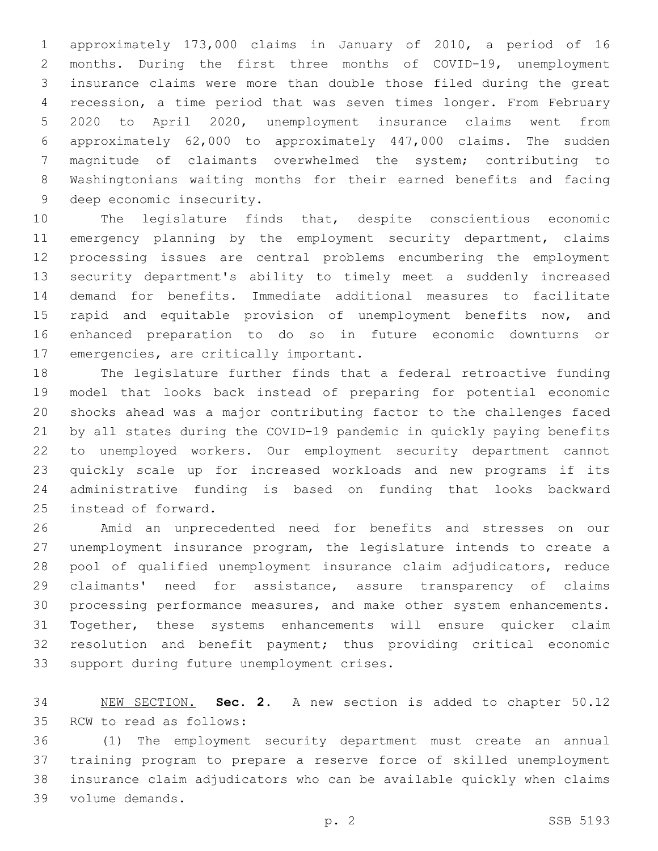approximately 173,000 claims in January of 2010, a period of 16 months. During the first three months of COVID-19, unemployment insurance claims were more than double those filed during the great recession, a time period that was seven times longer. From February 2020 to April 2020, unemployment insurance claims went from approximately 62,000 to approximately 447,000 claims. The sudden magnitude of claimants overwhelmed the system; contributing to Washingtonians waiting months for their earned benefits and facing 9 deep economic insecurity.

 The legislature finds that, despite conscientious economic emergency planning by the employment security department, claims processing issues are central problems encumbering the employment security department's ability to timely meet a suddenly increased demand for benefits. Immediate additional measures to facilitate 15 rapid and equitable provision of unemployment benefits now, and enhanced preparation to do so in future economic downturns or 17 emergencies, are critically important.

 The legislature further finds that a federal retroactive funding model that looks back instead of preparing for potential economic shocks ahead was a major contributing factor to the challenges faced by all states during the COVID-19 pandemic in quickly paying benefits to unemployed workers. Our employment security department cannot quickly scale up for increased workloads and new programs if its administrative funding is based on funding that looks backward 25 instead of forward.

 Amid an unprecedented need for benefits and stresses on our unemployment insurance program, the legislature intends to create a pool of qualified unemployment insurance claim adjudicators, reduce claimants' need for assistance, assure transparency of claims processing performance measures, and make other system enhancements. Together, these systems enhancements will ensure quicker claim resolution and benefit payment; thus providing critical economic 33 support during future unemployment crises.

 NEW SECTION. **Sec. 2.** A new section is added to chapter 50.12 35 RCW to read as follows:

 (1) The employment security department must create an annual training program to prepare a reserve force of skilled unemployment insurance claim adjudicators who can be available quickly when claims volume demands.39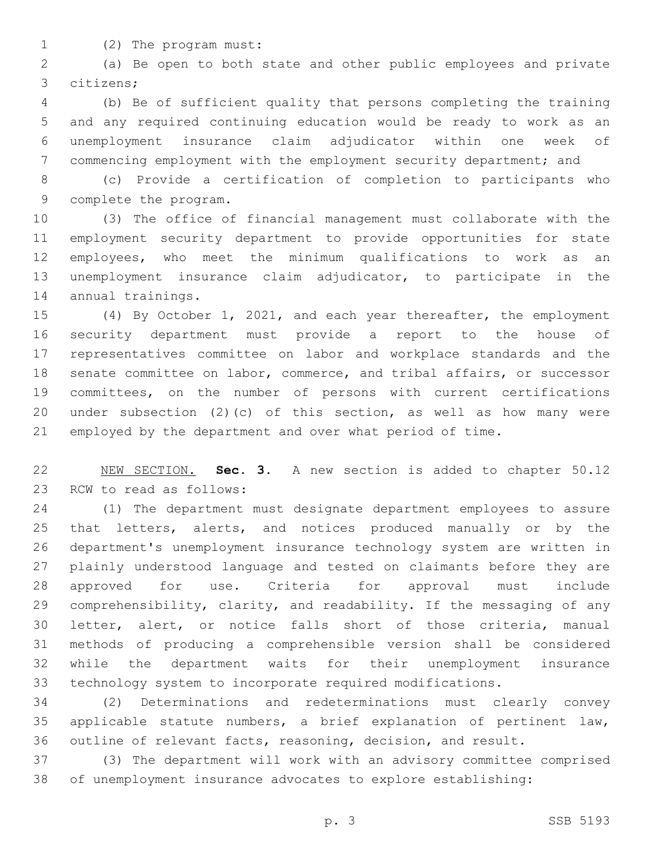- 
- 1 (2) The program must:

 (a) Be open to both state and other public employees and private citizens;3

 (b) Be of sufficient quality that persons completing the training and any required continuing education would be ready to work as an unemployment insurance claim adjudicator within one week of commencing employment with the employment security department; and

 (c) Provide a certification of completion to participants who 9 complete the program.

 (3) The office of financial management must collaborate with the employment security department to provide opportunities for state employees, who meet the minimum qualifications to work as an unemployment insurance claim adjudicator, to participate in the 14 annual trainings.

 (4) By October 1, 2021, and each year thereafter, the employment security department must provide a report to the house of representatives committee on labor and workplace standards and the senate committee on labor, commerce, and tribal affairs, or successor committees, on the number of persons with current certifications under subsection (2)(c) of this section, as well as how many were employed by the department and over what period of time.

 NEW SECTION. **Sec. 3.** A new section is added to chapter 50.12 23 RCW to read as follows:

 (1) The department must designate department employees to assure 25 that letters, alerts, and notices produced manually or by the department's unemployment insurance technology system are written in plainly understood language and tested on claimants before they are approved for use. Criteria for approval must include comprehensibility, clarity, and readability. If the messaging of any letter, alert, or notice falls short of those criteria, manual methods of producing a comprehensible version shall be considered while the department waits for their unemployment insurance technology system to incorporate required modifications.

 (2) Determinations and redeterminations must clearly convey applicable statute numbers, a brief explanation of pertinent law, outline of relevant facts, reasoning, decision, and result.

 (3) The department will work with an advisory committee comprised of unemployment insurance advocates to explore establishing: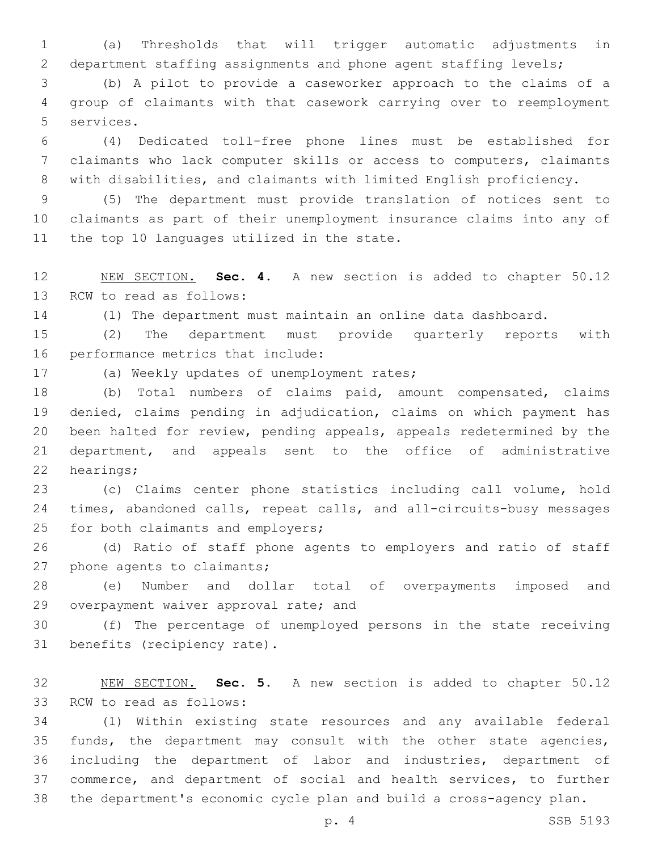(a) Thresholds that will trigger automatic adjustments in department staffing assignments and phone agent staffing levels;

 (b) A pilot to provide a caseworker approach to the claims of a group of claimants with that casework carrying over to reemployment 5 services.

 (4) Dedicated toll-free phone lines must be established for claimants who lack computer skills or access to computers, claimants with disabilities, and claimants with limited English proficiency.

 (5) The department must provide translation of notices sent to claimants as part of their unemployment insurance claims into any of 11 the top 10 languages utilized in the state.

 NEW SECTION. **Sec. 4.** A new section is added to chapter 50.12 13 RCW to read as follows:

(1) The department must maintain an online data dashboard.

 (2) The department must provide quarterly reports with 16 performance metrics that include:

17 (a) Weekly updates of unemployment rates;

 (b) Total numbers of claims paid, amount compensated, claims denied, claims pending in adjudication, claims on which payment has been halted for review, pending appeals, appeals redetermined by the department, and appeals sent to the office of administrative 22 hearings;

 (c) Claims center phone statistics including call volume, hold times, abandoned calls, repeat calls, and all-circuits-busy messages 25 for both claimants and employers;

 (d) Ratio of staff phone agents to employers and ratio of staff 27 phone agents to claimants;

 (e) Number and dollar total of overpayments imposed and 29 overpayment waiver approval rate; and

 (f) The percentage of unemployed persons in the state receiving 31 benefits (recipiency rate).

 NEW SECTION. **Sec. 5.** A new section is added to chapter 50.12 33 RCW to read as follows:

 (1) Within existing state resources and any available federal funds, the department may consult with the other state agencies, including the department of labor and industries, department of commerce, and department of social and health services, to further the department's economic cycle plan and build a cross-agency plan.